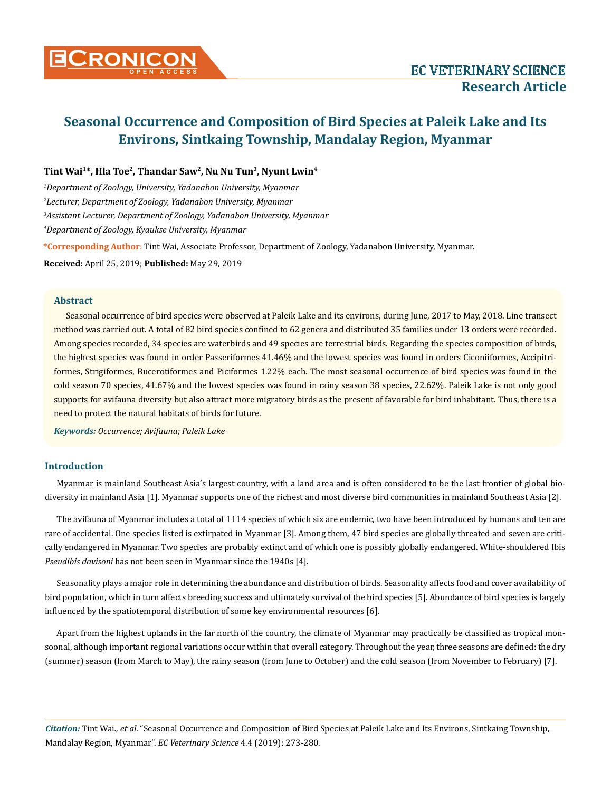

## **Tint Wai1\*, Hla Toe2, Thandar Saw2, Nu Nu Tun3, Nyunt Lwin4**

 *Department of Zoology, University, Yadanabon University, Myanmar Lecturer, Department of Zoology, Yadanabon University, Myanmar Assistant Lecturer, Department of Zoology, Yadanabon University, Myanmar Department of Zoology, Kyaukse University, Myanmar*

**\*Corresponding Author**: Tint Wai, Associate Professor, Department of Zoology, Yadanabon University, Myanmar.

**Received:** April 25, 2019; **Published:** May 29, 2019

#### **Abstract**

Seasonal occurrence of bird species were observed at Paleik Lake and its environs, during June, 2017 to May, 2018. Line transect method was carried out. A total of 82 bird species confined to 62 genera and distributed 35 families under 13 orders were recorded. Among species recorded, 34 species are waterbirds and 49 species are terrestrial birds. Regarding the species composition of birds, the highest species was found in order Passeriformes 41.46% and the lowest species was found in orders Ciconiiformes, Accipitriformes, Strigiformes, Bucerotiformes and Piciformes 1.22% each. The most seasonal occurrence of bird species was found in the cold season 70 species, 41.67% and the lowest species was found in rainy season 38 species, 22.62%. Paleik Lake is not only good supports for avifauna diversity but also attract more migratory birds as the present of favorable for bird inhabitant. Thus, there is a need to protect the natural habitats of birds for future.

*Keywords: Occurrence; Avifauna; Paleik Lake*

## **Introduction**

Myanmar is mainland Southeast Asia's largest country, with a land area and is often considered to be the last frontier of global biodiversity in mainland Asia [1]. Myanmar supports one of the richest and most diverse bird communities in mainland Southeast Asia [2].

The avifauna of Myanmar includes a total of 1114 species of which six are endemic, two have been introduced by humans and ten are rare of accidental. One species listed is extirpated in Myanmar [3]. Among them, 47 bird species are globally threated and seven are critically endangered in Myanmar. Two species are probably extinct and of which one is possibly globally endangered. White-shouldered Ibis *Pseudibis davisoni* has not been seen in Myanmar since the 1940s [4].

Seasonality plays a major role in determining the abundance and distribution of birds. Seasonality affects food and cover availability of bird population, which in turn affects breeding success and ultimately survival of the bird species [5]. Abundance of bird species is largely influenced by the spatiotemporal distribution of some key environmental resources [6].

Apart from the highest uplands in the far north of the country, the climate of Myanmar may practically be classified as tropical monsoonal, although important regional variations occur within that overall category. Throughout the year, three seasons are defined: the dry (summer) season (from March to May), the rainy season (from June to October) and the cold season (from November to February) [7].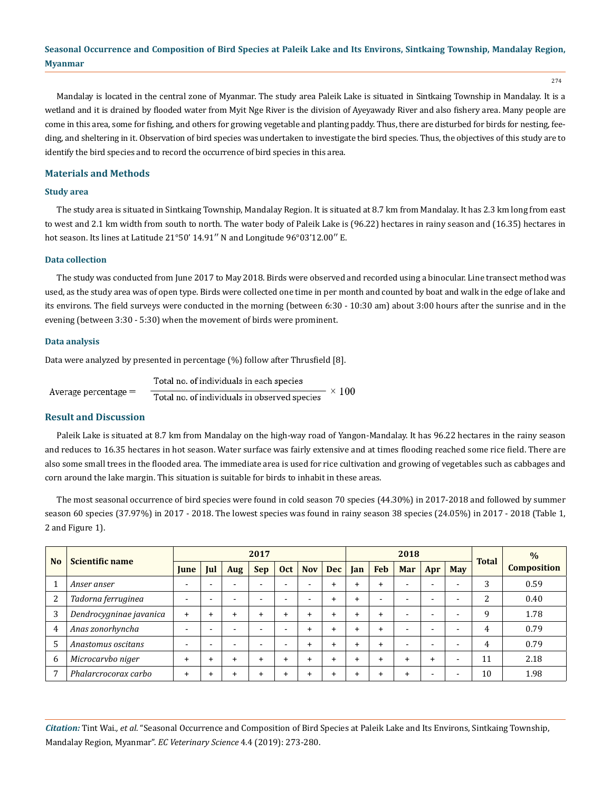274

Mandalay is located in the central zone of Myanmar. The study area Paleik Lake is situated in Sintkaing Township in Mandalay. It is a wetland and it is drained by flooded water from Myit Nge River is the division of Ayeyawady River and also fishery area. Many people are come in this area, some for fishing, and others for growing vegetable and planting paddy. Thus, there are disturbed for birds for nesting, feeding, and sheltering in it. Observation of bird species was undertaken to investigate the bird species. Thus, the objectives of this study are to identify the bird species and to record the occurrence of bird species in this area.

## **Materials and Methods**

## **Study area**

The study area is situated in Sintkaing Township, Mandalay Region. It is situated at 8.7 km from Mandalay. It has 2.3 km long from east to west and 2.1 km width from south to north. The water body of Paleik Lake is (96.22) hectares in rainy season and (16.35) hectares in hot season. Its lines at Latitude 21°50' 14.91" N and Longitude 96°03'12.00" E.

## **Data collection**

The study was conducted from June 2017 to May 2018. Birds were observed and recorded using a binocular. Line transect method was used, as the study area was of open type. Birds were collected one time in per month and counted by boat and walk in the edge of lake and its environs. The field surveys were conducted in the morning (between 6:30 - 10:30 am) about 3:00 hours after the sunrise and in the evening (between 3:30 - 5:30) when the movement of birds were prominent.

#### **Data analysis**

Data were analyzed by presented in percentage (%) follow after Thrusfield [8].

Total no. of individuals in each species  $\times$  100 Average percentage = Total no. of individuals in observed species

## **Result and Discussion**

Paleik Lake is situated at 8.7 km from Mandalay on the high-way road of Yangon-Mandalay. It has 96.22 hectares in the rainy season and reduces to 16.35 hectares in hot season. Water surface was fairly extensive and at times flooding reached some rice field. There are also some small trees in the flooded area. The immediate area is used for rice cultivation and growing of vegetables such as cabbages and corn around the lake margin. This situation is suitable for birds to inhabit in these areas.

The most seasonal occurrence of bird species were found in cold season 70 species (44.30%) in 2017-2018 and followed by summer season 60 species (37.97%) in 2017 - 2018. The lowest species was found in rainy season 38 species (24.05%) in 2017 - 2018 (Table 1, 2 and Figure 1).

|                | <b>Scientific name</b>  | 2017           |                          |           |            |                          |            |            | 2018      |                          |                          |                          |                          |               | $\frac{0}{0}$      |
|----------------|-------------------------|----------------|--------------------------|-----------|------------|--------------------------|------------|------------|-----------|--------------------------|--------------------------|--------------------------|--------------------------|---------------|--------------------|
| N <sub>o</sub> |                         | <b>lune</b>    | Jul                      | Aug       | <b>Sep</b> | <b>Oct</b>               | <b>Nov</b> | <b>Dec</b> | Jan       | <b>Feb</b>               | Mar                      | Apr                      | <b>May</b>               | <b>Total</b>  | <b>Composition</b> |
|                | Anser anser             | $\overline{a}$ |                          |           | -          | $\overline{\phantom{0}}$ |            | $\ddot{}$  | $\div$    | $\ddot{}$                |                          | $\overline{\phantom{0}}$ |                          | 3             | 0.59               |
| 2              | Tadorna ferruginea      | -              |                          | -         | -          | $\overline{\phantom{0}}$ |            | $\ddot{}$  | $\ddot{}$ | $\overline{\phantom{0}}$ |                          | -                        |                          | $\mathcal{D}$ | 0.40               |
| 3              | Dendrocygninae javanica | $\ddot{}$      | $\div$                   | $\div$    | +          | $\ddot{}$                | ÷          | $\ddot{}$  | $\ddot{}$ | +                        | $\overline{\phantom{0}}$ | $\overline{\phantom{0}}$ | $\overline{\phantom{0}}$ | 9             | 1.78               |
| $\overline{4}$ | Anas zonorhyncha        | -              |                          | -         | -          | $\overline{\phantom{0}}$ | ÷          | $\ddot{}$  | $\ddot{}$ | +                        | $\overline{\phantom{0}}$ | $\overline{\phantom{0}}$ | $\overline{\phantom{0}}$ | 4             | 0.79               |
| 5              | Anastomus oscitans      | $\overline{a}$ | $\overline{\phantom{0}}$ | -         | -          | $\overline{\phantom{0}}$ |            | $\div$     | $\ddot{}$ | $\ddot{}$                | <b>-</b>                 | $\overline{\phantom{0}}$ | $\overline{\phantom{0}}$ | 4             | 0.79               |
| 6              | Microcarvbo niger       | $\ddot{}$      | $\div$                   | $\ddot{}$ |            | $\ddot{}$                |            | $\div$     | $\ddot{}$ | +                        |                          | $\div$                   |                          | 11            | 2.18               |
|                | Phalarcrocorax carbo    | $\ddot{}$      | ٠                        |           |            | $\ddot{}$                |            | ÷          | $\ddot{}$ | +                        | +                        | -                        |                          | 10            | 1.98               |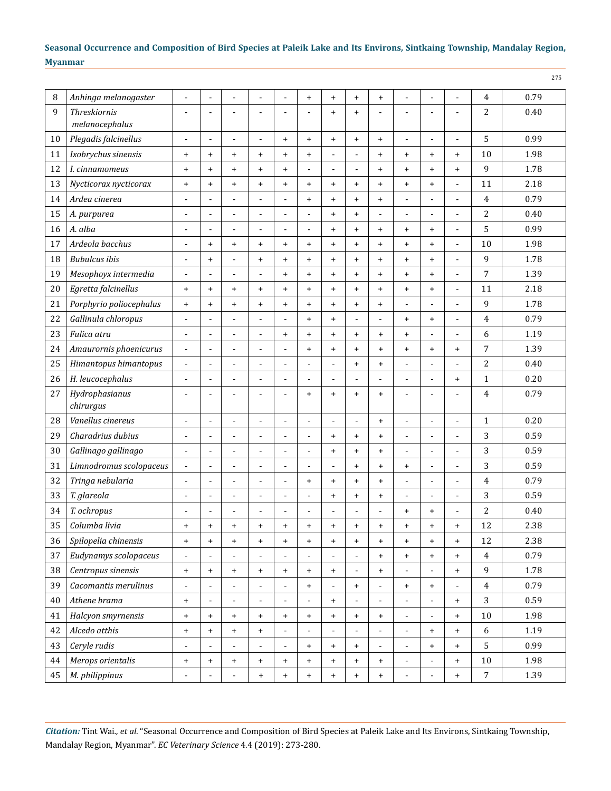| 8  | Anhinga melanogaster        | ÷,                               | ٠                        |                                  | $\blacksquare$                   | ÷                                | $\ddot{}$                | $\ddot{}$                | $\ddot{}$                        | $\ddot{}$      | ÷                            | ÷,                               | $\blacksquare$           | 4                | 0.79 |
|----|-----------------------------|----------------------------------|--------------------------|----------------------------------|----------------------------------|----------------------------------|--------------------------|--------------------------|----------------------------------|----------------|------------------------------|----------------------------------|--------------------------|------------------|------|
| 9  | <b>Threskiornis</b>         | Ē,                               |                          |                                  | $\overline{a}$                   | ٠                                |                          | $\ddot{}$                | $\ddot{}$                        | $\blacksquare$ |                              | $\overline{a}$                   | $\ddot{\phantom{1}}$     | $\overline{2}$   | 0.40 |
|    | melanocephalus              |                                  |                          |                                  |                                  |                                  |                          |                          |                                  |                |                              |                                  |                          |                  |      |
| 10 | Plegadis falcinellus        | $\overline{a}$                   | ٠                        | $\blacksquare$                   | $\blacksquare$                   | $\ddot{}$                        | $\ddot{}$                | $\ddot{}$                | $\ddot{}$                        | $\ddot{}$      | $\blacksquare$               | $\overline{a}$                   | ÷,                       | 5                | 0.99 |
| 11 | Ixobrychus sinensis         | $\ddot{}$                        | $\ddot{}$                | $\ddot{}$                        | $\ddot{}$                        | $\ddot{}$                        | $\ddot{}$                |                          | $\overline{\phantom{a}}$         | $\ddot{}$      | $\ddot{}$                    | $\ddot{}$                        | $\ddot{}$                | 10               | 1.98 |
| 12 | I. cinnamomeus              | $\begin{array}{c} + \end{array}$ | $\ddot{}$                | $\ddot{}$                        | $\ddot{}$                        | $\ddot{}$                        | $\overline{a}$           | $\overline{a}$           | $\overline{a}$                   | $\ddot{}$      | $\ddot{}$                    | $\ddot{}$                        | $\ddot{}$                | 9                | 1.78 |
| 13 | Nycticorax nycticorax       | $\ddot{}$                        | $\ddot{}$                | $\ddot{}$                        | $\ddot{}$                        | $\ddot{}$                        | $\ddot{}$                | $\ddot{}$                | $\ddot{}$                        | $\ddot{}$      | $\ddot{}$                    | $\ddot{}$                        | $\blacksquare$           | 11               | 2.18 |
| 14 | Ardea cinerea               | $\overline{a}$                   | $\overline{\phantom{a}}$ | $\blacksquare$                   | $\blacksquare$                   | $\overline{a}$                   | $+$                      | $\ddot{}$                | $\ddot{}$                        | $\ddot{}$      | ÷                            | $\overline{a}$                   | $\overline{a}$           | $\overline{4}$   | 0.79 |
| 15 | A. purpurea                 | $\blacksquare$                   | $\overline{a}$           | $\overline{a}$                   | $\overline{\phantom{0}}$         | $\overline{\phantom{0}}$         | $\blacksquare$           | $\ddot{}$                | $\ddot{}$                        | $\overline{a}$ | $\overline{a}$               | $\overline{a}$                   | $\overline{a}$           | $\overline{2}$   | 0.40 |
| 16 | A. alba                     | ÷,                               | ٠                        | $\overline{\phantom{a}}$         | $\blacksquare$                   | ÷                                | $\sim$                   | $\ddot{}$                | $\ddot{}$                        | $\ddot{}$      | $\ddot{}$                    | $\ddot{}$                        | $\blacksquare$           | 5                | 0.99 |
| 17 | Ardeola bacchus             | $\blacksquare$                   | $\ddot{}$                | $\ddot{}$                        | $\ddot{}$                        | $\ddot{}$                        | $\ddot{}$                | $\ddot{}$                | $\ddot{}$                        | $\ddot{}$      | $\ddot{}$                    | $\ddot{}$                        | $\overline{\phantom{a}}$ | 10               | 1.98 |
| 18 | <b>Bubulcus</b> ibis        | $\overline{a}$                   | $\ddot{}$                |                                  | $\ddot{}$                        | $\ddot{}$                        | $+$                      | $\ddot{}$                | $\ddot{}$                        | $\ddot{}$      | $\ddot{}$                    | $\ddot{}$                        | ÷,                       | 9                | 1.78 |
| 19 | Mesophoyx intermedia        | $\blacksquare$                   | $\overline{\phantom{a}}$ | $\blacksquare$                   | $\blacksquare$                   | $\ddot{}$                        | $\ddot{}$                | $\ddot{}$                | $\ddot{}$                        | $\ddot{}$      | $\ddot{}$                    | $\ddot{}$                        | $\overline{a}$           | $\overline{7}$   | 1.39 |
| 20 | Egretta falcinellus         | $\begin{array}{c} + \end{array}$ | $\ddot{}$                | $\ddot{}$                        | $\ddot{}$                        | $\ddot{}$                        | $\ddot{}$                | $\ddot{}$                | $\ddot{}$                        | $\ddot{}$      | $\ddot{}$                    | $\ddot{}$                        | $\overline{a}$           | 11               | 2.18 |
| 21 | Porphyrio poliocephalus     | $\ddot{}$                        | $\ddot{}$                | $\ddot{}$                        | $\ddot{}$                        | $\ddot{}$                        | $+$                      | $\ddot{}$                | $\ddot{}$                        | $\ddot{}$      | $\overline{a}$               | $\overline{a}$                   | ÷,                       | 9                | 1.78 |
| 22 | Gallinula chloropus         | $\blacksquare$                   | $\overline{a}$           | $\overline{a}$                   | $\overline{\phantom{0}}$         | $\overline{\phantom{0}}$         | $\ddot{}$                | $\ddot{}$                | $\overline{a}$                   | $\overline{a}$ | $\ddot{}$                    | $\ddot{}$                        | ÷,                       | 4                | 0.79 |
| 23 | Fulica atra                 | $\blacksquare$                   | ٠                        | $\overline{a}$                   | $\blacksquare$                   | $\ddot{}$                        | $\ddot{}$                | $\ddot{}$                | $\ddot{}$                        | $\ddot{}$      | $\ddot{}$                    | ÷,                               | $\blacksquare$           | 6                | 1.19 |
| 24 | Amaurornis phoenicurus      | $\blacksquare$                   | $\blacksquare$           | $\blacksquare$                   | $\overline{a}$                   | ÷                                | $\ddot{}$                | $\ddot{}$                | $\ddot{}$                        | $\ddot{}$      | $\ddot{}$                    | $\ddot{}$                        | $\ddot{}$                | $\overline{7}$   | 1.39 |
| 25 | Himantopus himantopus       | $\blacksquare$                   | $\overline{a}$           | $\overline{a}$                   | $\overline{\phantom{0}}$         | $\overline{\phantom{0}}$         | $\blacksquare$           | $\overline{\phantom{a}}$ | $\ddot{}$                        | $\ddot{}$      | $\overline{a}$               | $\overline{a}$                   | ÷,                       | $\overline{2}$   | 0.40 |
| 26 | H. leucocephalus            | $\blacksquare$                   | ٠                        | ä,                               | ÷,                               | ÷                                | $\blacksquare$           | $\blacksquare$           | $\blacksquare$                   | $\overline{a}$ | $\blacksquare$               | $\overline{a}$                   | $\ddot{}$                | $\mathbf{1}$     | 0.20 |
| 27 | Hydrophasianus<br>chirurgus | $\blacksquare$                   |                          |                                  | L.                               | ٠                                | $+$                      | $\ddot{}$                | $\ddot{}$                        | $\ddot{}$      | $\overline{a}$               | L                                | ÷                        | 4                | 0.79 |
| 28 | Vanellus cinereus           | ä,                               | ٠                        | $\overline{a}$                   | $\blacksquare$                   | ÷                                | $\blacksquare$           | $\blacksquare$           | $\blacksquare$                   | $\ddot{}$      | $\blacksquare$               | $\overline{a}$                   | $\overline{\phantom{a}}$ | $\mathbf{1}$     | 0.20 |
| 29 | Charadrius dubius           | $\blacksquare$                   | $\blacksquare$           | $\blacksquare$                   | $\blacksquare$                   | ÷                                | $\blacksquare$           | $+$                      | $\ddot{}$                        | $\ddot{}$      | $\blacksquare$               | $\blacksquare$                   | $\blacksquare$           | 3                | 0.59 |
| 30 | Gallinago gallinago         | $\blacksquare$                   | $\overline{a}$           | $\overline{a}$                   | $\overline{\phantom{0}}$         | $\overline{\phantom{0}}$         | $\overline{a}$           | $\ddot{}$                | $\ddot{}$                        | $\ddot{}$      | $\overline{\phantom{0}}$     | $\overline{\phantom{0}}$         | $\overline{a}$           | 3                | 0.59 |
| 31 | Limnodromus scolopaceus     | $\blacksquare$                   | $\blacksquare$           | ä,                               | $\blacksquare$                   | $\overline{a}$                   | $\blacksquare$           | $\blacksquare$           | $\ddot{}$                        | $\ddot{}$      | $\ddot{}$                    | ÷,                               | ÷,                       | 3                | 0.59 |
| 32 | Tringa nebularia            | $\blacksquare$                   | ٠                        | ÷.                               | $\blacksquare$                   | $\overline{a}$                   | $\ddot{}$                | $\ddot{}$                | $\ddot{}$                        | $\ddot{}$      | $\blacksquare$               | $\overline{a}$                   | $\overline{\phantom{a}}$ | $\overline{4}$   | 0.79 |
| 33 | T. glareola                 | ÷,                               | $\overline{a}$           | $\overline{a}$                   | $\qquad \qquad \blacksquare$     | $\overline{\phantom{0}}$         | $\blacksquare$           | $\ddot{}$                | $\ddot{}$                        | $\ddot{}$      | $\overline{a}$               | $\overline{a}$                   | $\overline{a}$           | 3                | 0.59 |
| 34 | T. ochropus                 | $\overline{a}$                   | $\overline{\phantom{a}}$ | $\overline{a}$                   | $\overline{\phantom{0}}$         | $\overline{\phantom{a}}$         | $\overline{a}$           | $\overline{\phantom{a}}$ | $\overline{a}$                   | $\blacksquare$ | $\ddot{}$                    | $\ddot{}$                        | ÷,                       | $\overline{2}$   | 0.40 |
| 35 | Columba livia               | $\ddot{}$                        | $\ddot{}$                | $\ddot{}$                        | $\ddot{}$                        | $\ddot{}$                        | $\ddot{}$                | $\ddot{}$                | $\ddot{}$                        | $\ddot{}$      | $\ddot{}$                    | $\ddot{}$                        | $\ddot{}$                | 12               | 2.38 |
| 36 | Spilopelia chinensis        | $\begin{array}{c} + \end{array}$ | $+$                      | $\begin{array}{c} + \end{array}$ | $\begin{array}{c} + \end{array}$ | $\ddot{}$                        | $\ddot{}$                | $\ddot{}$                | $\begin{array}{c} + \end{array}$ | $\ddot{}$      | $\ddot{}$                    | $\begin{array}{c} + \end{array}$ | $\ddot{}$                | 12               | 2.38 |
| 37 | Eudynamys scolopaceus       | $\blacksquare$                   |                          | $\overline{\phantom{a}}$         | -                                |                                  |                          |                          | $\overline{\phantom{a}}$         | $\ddot{}$      | $+$                          | $\ddot{}$                        | $\ddot{}$                | $\overline{4}$   | 0.79 |
| 38 | Centropus sinensis          | $\boldsymbol{+}$                 | $+$                      | $\begin{array}{c} + \end{array}$ | $\begin{array}{c} + \end{array}$ | $\begin{array}{c} + \end{array}$ | $\ddot{}$                | $\ddot{}$                | $\blacksquare$                   | $\ddot{}$      | $\blacksquare$               | $\overline{\phantom{a}}$         | $\ddot{}$                | 9                | 1.78 |
| 39 | Cacomantis merulinus        | $\frac{1}{2}$                    | $\blacksquare$           | $\blacksquare$                   | $\blacksquare$                   | $\overline{\phantom{0}}$         | $+$                      | $\overline{\phantom{a}}$ | $\ddot{}$                        | $\blacksquare$ | $\ddot{}$                    | $\ddot{}$                        | $\blacksquare$           | $\overline{4}$   | 0.79 |
| 40 | Athene brama                | $\begin{array}{c} + \end{array}$ |                          | $\overline{\phantom{a}}$         | ۰                                | ۰                                |                          | $\ddot{}$                | $\overline{\phantom{a}}$         | $\blacksquare$ | $\qquad \qquad \blacksquare$ | $\blacksquare$                   | $\ddot{}$                | 3                | 0.59 |
| 41 | Halcyon smyrnensis          | $+$                              | $+$                      | $\ddot{}$                        | $\ddot{}$                        | $\begin{array}{c} + \end{array}$ | $+$                      | $\ddot{}$                | $\ddot{}$                        | $\ddot{}$      | $\frac{1}{2}$                | $\blacksquare$                   | $\ddot{}$                | $10\,$           | 1.98 |
| 42 | Alcedo atthis               | $\boldsymbol{+}$                 | $+$                      | $\begin{array}{c} + \end{array}$ | $\begin{array}{c} + \end{array}$ | ÷,                               | $\overline{\phantom{a}}$ | $\blacksquare$           | $\blacksquare$                   | $\blacksquare$ | $\blacksquare$               | $\begin{array}{c} + \end{array}$ | $\ddot{}$                | 6                | 1.19 |
| 43 | Ceryle rudis                | $\blacksquare$                   | -                        | $\overline{\phantom{a}}$         | $\overline{\phantom{a}}$         | $\qquad \qquad \blacksquare$     | $+$                      | $\ddot{}$                | $\ddot{}$                        | $\blacksquare$ | $\blacksquare$               | $\ddot{}$                        | $\ddot{}$                | 5                | 0.99 |
| 44 | Merops orientalis           | $\boldsymbol{+}$                 | $+$                      | $\ddot{}$                        | $\ddot{}$                        | $\begin{array}{c} + \end{array}$ | $\ddot{}$                | $\ddot{}$                | $\begin{array}{c} + \end{array}$ | $\ddot{}$      | $\blacksquare$               | $\blacksquare$                   | $\ddot{}$                | 10               | 1.98 |
| 45 | M. philippinus              | $\blacksquare$                   | $\blacksquare$           | $\blacksquare$                   | $+$                              | $\begin{array}{c} + \end{array}$ | $\ddot{}$                | $\ddot{}$                | $\begin{array}{c} + \end{array}$ | $\ddot{}$      | ÷                            | $\blacksquare$                   | $\ddot{}$                | $\boldsymbol{7}$ | 1.39 |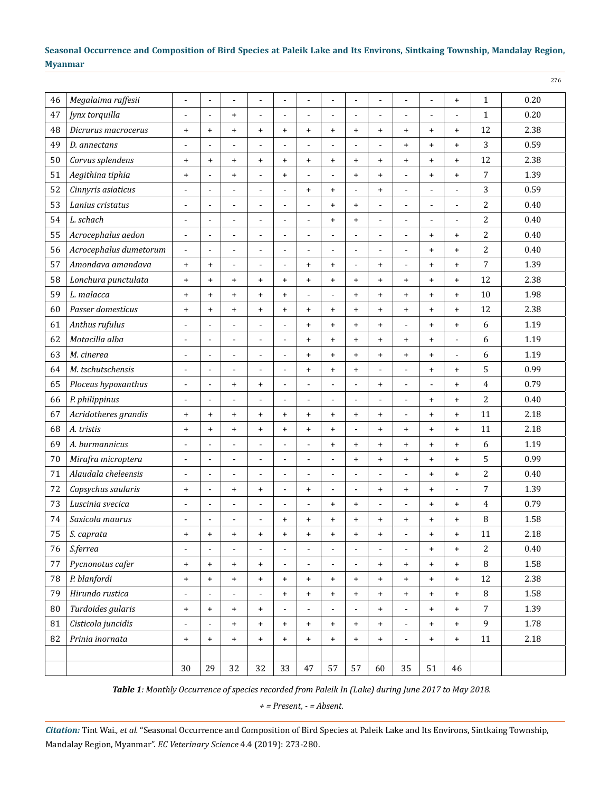| 46     | Megalaima raffesii     | L,                               |           |                          |                | ä,             |                          | $\overline{a}$           |                          | ä,             |                |                | $\ddot{}$      | $\mathbf{1}$   | 0.20 |
|--------|------------------------|----------------------------------|-----------|--------------------------|----------------|----------------|--------------------------|--------------------------|--------------------------|----------------|----------------|----------------|----------------|----------------|------|
| 47     | Jynx torquilla         | ÷,                               | ä,        | $\ddot{}$                | L,             | ÷,             | $\blacksquare$           | ÷,                       | $\overline{\phantom{a}}$ | L,             | ä,             | L.             | ä,             | $\mathbf{1}$   | 0.20 |
| 48     | Dicrurus macrocerus    | $\begin{array}{c} + \end{array}$ | $\ddot{}$ | $\ddot{}$                | $\ddot{}$      | $\ddot{}$      | $+$                      | $\ddot{}$                | $\ddot{}$                | $\ddot{}$      | $\ddot{}$      | $\ddot{}$      | $\ddot{}$      | 12             | 2.38 |
| 49     | D. annectans           | ÷,                               |           | $\overline{a}$           |                | ä,             |                          | $\blacksquare$           |                          | ä,             | $\ddot{}$      | $\ddot{}$      | $\ddot{}$      | 3              | 0.59 |
| 50     | Corvus splendens       | $\begin{array}{c} + \end{array}$ | $\ddot{}$ | $\ddot{}$                | $\ddot{}$      | $\ddot{}$      | $\ddot{}$                | $\ddot{}$                | $\ddot{}$                | $\ddot{}$      | $\ddot{}$      | $\ddot{}$      | $\ddot{}$      | 12             | 2.38 |
| 51     | Aegithina tiphia       | $\begin{array}{c} + \end{array}$ | L,        | $\ddot{}$                | L,             | $\ddot{}$      | $\blacksquare$           | ÷,                       | $\ddot{}$                | $\ddot{}$      | ÷,             | $\ddot{}$      | $\ddot{}$      | 7              | 1.39 |
| 52     | Cinnyris asiaticus     | ÷,                               | ä,        | $\overline{a}$           | ä,             | ÷,             | $+$                      | $\ddot{}$                | $\overline{a}$           | $+$            | ÷,             | L.             | ä,             | 3              | 0.59 |
| 53     | Lanius cristatus       | ÷,                               |           | L,                       | L,             | ÷,             |                          | $\ddot{}$                | $\ddot{}$                | $\overline{a}$ | ä,             | ÷,             | Ĭ.             | 2              | 0.40 |
| 54     | L. schach              | ٠                                |           | -                        |                | ä,             |                          | $\ddot{}$                | $\ddot{}$                | $\blacksquare$ | ۰              |                |                | 2              | 0.40 |
| 55     | Acrocephalus aedon     | $\blacksquare$                   | ä,        | $\blacksquare$           | L              | ÷,             | $\overline{\phantom{a}}$ | $\blacksquare$           |                          | ä,             | ä,             | $\ddot{}$      | $\ddot{}$      | 2              | 0.40 |
| 56     | Acrocephalus dumetorum | ÷,                               | ÷,        | L,                       | ä,             | ÷,             |                          | $\overline{a}$           | $\overline{a}$           | ÷,             | ÷,             | $\ddot{}$      | $\ddot{}$      | 2              | 0.40 |
| 57     | Amondava amandava      | $\begin{array}{c} + \end{array}$ | $\ddot{}$ | $\blacksquare$           | L,             | ÷,             | $\ddot{}$                | $\ddot{}$                | $\blacksquare$           | $\ddot{}$      | ä,             | $\ddot{}$      | $\ddot{}$      | 7              | 1.39 |
| 58     | Lonchura punctulata    | $\ddot{}$                        | $\ddot{}$ | $\ddot{}$                | $\ddot{}$      | $\ddot{}$      | $\ddot{}$                | $\ddot{}$                | $\ddot{}$                | $\ddot{}$      | $\ddot{}$      | $\ddot{}$      | $\ddot{}$      | 12             | 2.38 |
| 59     | L. malacca             | $\begin{array}{c} + \end{array}$ | $\ddot{}$ | $\ddot{}$                | $\ddot{}$      | $\ddot{}$      | $\blacksquare$           | $\blacksquare$           | $\ddot{}$                | $\ddot{}$      | $\ddot{}$      | $\ddot{}$      | $\ddot{}$      | 10             | 1.98 |
| 60     | Passer domesticus      | $\ddot{}$                        | $\ddot{}$ | $\ddot{}$                | $\ddot{}$      | $\ddot{}$      | $+$                      | $\ddot{}$                | $\ddot{}$                | $\ddot{}$      | $\ddot{}$      | $\ddot{}$      | $\ddot{}$      | 12             | 2.38 |
| 61     | Anthus rufulus         | $\overline{a}$                   |           | $\overline{a}$           | $\overline{a}$ | Ĭ.             | $\ddot{}$                | $\ddot{}$                | $\ddot{}$                | $\ddot{}$      | ä,             | $\ddot{}$      | $\ddot{}$      | 6              | 1.19 |
| 62     | Motacilla alba         | $\overline{a}$                   |           | $\overline{a}$           | $\blacksquare$ | Ē,             | $\ddot{}$                | $\ddot{}$                | $\ddot{}$                | $\ddot{}$      | $\ddot{}$      | $\ddot{}$      | $\blacksquare$ | 6              | 1.19 |
| 63     | M. cinerea             | $\overline{\phantom{a}}$         | Ĭ.        | ÷,                       | L,             | ÷,             | $+$                      | $\ddot{}$                | $\ddot{}$                | $\ddot{}$      | $\ddot{}$      | $\ddot{}$      | $\overline{a}$ | 6              | 1.19 |
| 64     | M. tschutschensis      | L,                               | L.        | L,                       | ÷              | Ĭ.             | $\ddot{}$                | $\ddot{}$                | $\ddot{}$                | ä,             | ÷,             | $\ddot{}$      | $\ddot{}$      | 5              | 0.99 |
| 65     | Ploceus hypoxanthus    | $\blacksquare$                   | ä,        | $\ddot{}$                | $\ddot{}$      | Ĭ.             |                          | ÷,                       | L.                       | $\ddot{}$      | ÷,             | $\overline{a}$ | $\ddot{}$      | 4              | 0.79 |
| 66     | P. philippinus         | Ē,                               | ä,        | $\overline{a}$           | $\blacksquare$ | Ē,             |                          | $\overline{a}$           |                          | $\blacksquare$ | ٠              | $\ddot{}$      | $\ddot{}$      | 2              | 0.40 |
| 67     | Acridotheres grandis   | $\begin{array}{c} + \end{array}$ | $\ddot{}$ | $\ddot{}$                | $\ddot{}$      | $\ddot{}$      | $\ddot{}$                | $\ddot{}$                | $\ddot{}$                | $\ddot{}$      | ÷              | $\ddot{}$      | $\ddot{}$      | 11             | 2.18 |
| 68     | A. tristis             | $\begin{array}{c} + \end{array}$ | $\ddot{}$ | $\ddot{}$                | $\ddot{}$      | $\ddot{}$      | $\ddot{}$                | $\ddot{}$                | $\overline{a}$           | $\ddot{}$      | $\ddot{}$      | $\ddot{}$      | $\ddot{}$      | 11             | 2.18 |
| 69     | A. burmannicus         | $\overline{a}$                   |           | $\overline{a}$           | $\overline{a}$ | L.             |                          | $\ddot{}$                | $\ddot{}$                | $\ddot{}$      | $\ddot{}$      | $\ddot{}$      | $\ddot{}$      | 6              | 1.19 |
| 70     | Mirafra microptera     | ä,                               | ٠         | $\overline{a}$           | $\blacksquare$ | Ē,             |                          | $\blacksquare$           | $\ddot{}$                | $\ddot{}$      | $\ddot{}$      | $\ddot{}$      | $\ddot{}$      | 5              | 0.99 |
| 71     | Alaudala cheleensis    | $\overline{a}$                   | Ĭ.        | ÷,                       | ä,             | ÷,             | $\blacksquare$           | ٠                        | $\blacksquare$           | ÷,             | $\overline{a}$ | $\ddot{}$      | $\ddot{}$      | 2              | 0.40 |
| 72     | Copsychus saularis     | $\ddot{}$                        | ٠         | $\ddot{}$                | $\ddot{}$      | ÷,             | $+$                      | $\overline{\phantom{a}}$ | $\blacksquare$           | $\ddot{}$      | $\ddot{}$      | $\ddot{}$      | $\blacksquare$ | 7              | 1.39 |
| 73     | Luscinia svecica       | $\overline{a}$                   | ä,        | $\blacksquare$           | L              | ÷,             | $\blacksquare$           | $\ddot{}$                | $\ddot{}$                | ÷,             | ä,             | $\ddot{}$      | $\ddot{}$      | 4              | 0.79 |
| 74     | Saxicola maurus        | ä,                               | ٠         |                          | $\blacksquare$ | $\ddot{}$      | $\ddot{}$                | $\ddot{}$                | $\ddot{}$                | $\ddot{}$      | $\ddot{}$      | $\ddot{}$      | $\ddot{}$      | 8              | 1.58 |
| 75     | S. caprata             | $\ddot{}$                        | $\ddot{}$ | $\ddot{}$                | $\ddot{}$      | $\ddot{}$      | $\ddot{}$                | $\ddot{}$                | $\ddot{}$                | $\ddot{}$      |                | +              | $\ddot{}$      | 11             | 2.18 |
| 76     | S.ferrea               | ÷,                               |           | L,                       |                | ÷,             |                          | $\blacksquare$           |                          |                |                | $+$            | $\ddot{}$      | 2              | 0.40 |
| $77\,$ | Pycnonotus cafer       | $\boldsymbol{+}$                 | $+$       | $+$                      | $+$            | $\blacksquare$ | $\blacksquare$           | $\blacksquare$           | $\blacksquare$           | $\ddot{}$      | $+$            | $\ddot{}$      | $+$            | 8              | 1.58 |
| 78     | P. blanfordi           | $\ddot{}$                        | $+$       | $\ddot{}$                | $+$            | $\ddot{}$      | $+$                      | $+$                      | $\ddot{}$                | $+$            | $+$            | $\ddot{}$      | $+$            | 12             | 2.38 |
| 79     | Hirundo rustica        | $\overline{\phantom{a}}$         |           | $\overline{\phantom{a}}$ | $\blacksquare$ | $\ddot{}$      | $+$                      | $\ddot{}$                | $\ddot{}$                | $\ddot{}$      | $+$            | $+$            | $+$            | $\, 8$         | 1.58 |
| 80     | Turdoides gularis      | $\ddot{}$                        | $\ddot{}$ | $\ddot{}$                | $\ddot{}$      |                |                          | $\overline{\phantom{a}}$ |                          | $+$            |                | $\ddot{}$      | $+$            | $\overline{7}$ | 1.39 |
| 81     | Cisticola juncidis     | $\blacksquare$                   |           | $+$                      | $+$            | $\ddot{}$      | $+$                      | $+$                      | $\ddot{}$                | $+$            | $\blacksquare$ | $\ddot{}$      | $+$            | 9              | 1.78 |
| 82     | Prinia inornata        | $\ddot{}$                        | $\ddot{}$ | $+$                      | $+$            | $\ddot{}$      | $+$                      | $+$                      | $\ddot{}$                | $\ddot{}$      | $\blacksquare$ | $\ddot{}$      | $+$            | 11             | 2.18 |
|        |                        |                                  |           |                          |                |                |                          |                          |                          |                |                |                |                |                |      |
|        |                        | 30                               | 29        | 32                       | 32             | 33             | $47\,$                   | 57                       | 57                       | 60             | 35             | 51             | 46             |                |      |

*Table 1: Monthly Occurrence of species recorded from Paleik In (Lake) during June 2017 to May 2018.*

*+ = Present, - = Absent.*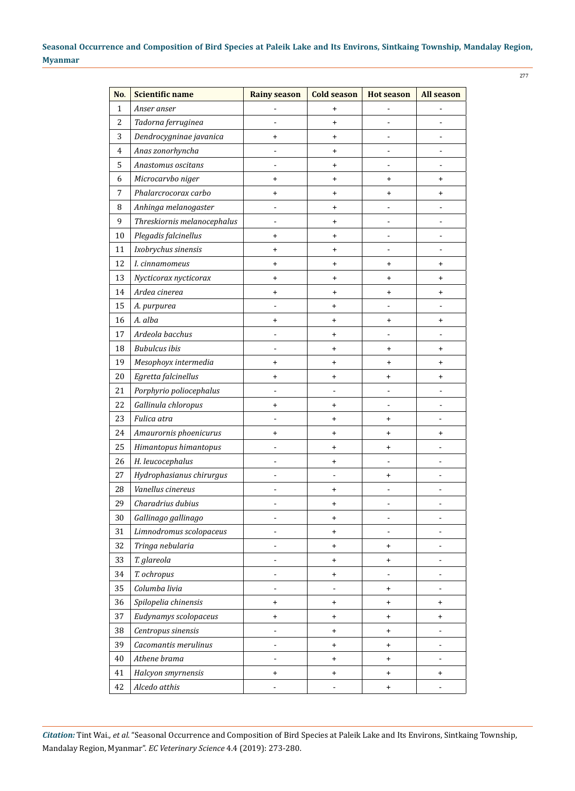| No.            | <b>Scientific name</b>      | <b>Rainy season</b>          | <b>Cold season</b> | <b>Hot season</b>                | <b>All season</b>                |
|----------------|-----------------------------|------------------------------|--------------------|----------------------------------|----------------------------------|
| $\mathbf 1$    | Anser anser                 | $\blacksquare$               | $\ddot{}$          |                                  |                                  |
| $\overline{c}$ | Tadorna ferruginea          |                              | $\ddot{}$          |                                  |                                  |
| 3              | Dendrocygninae javanica     | $\ddot{}$                    | $\ddot{}$          |                                  |                                  |
| $\overline{4}$ | Anas zonorhyncha            |                              | $\ddot{}$          |                                  |                                  |
| 5              | Anastomus oscitans          |                              | $\ddot{}$          |                                  |                                  |
| 6              | Microcarvbo niger           | +                            | $\ddot{}$          | $\ddot{}$                        | $\ddot{}$                        |
| $\sqrt{ }$     | Phalarcrocorax carbo        | $\ddot{}$                    | $\ddot{}$          | $\ddot{}$                        | $\ddot{}$                        |
| 8              | Anhinga melanogaster        |                              | $\ddot{}$          |                                  |                                  |
| 9              | Threskiornis melanocephalus | ÷                            | $\ddot{}$          | ÷                                | $\blacksquare$                   |
| 10             | Plegadis falcinellus        | +                            | $\ddot{}$          |                                  | ÷,                               |
| 11             | Ixobrychus sinensis         | +                            | $\ddot{}$          |                                  |                                  |
| 12             | I. cinnamomeus              | +                            | $\ddot{}$          | $\ddot{}$                        | $\ddot{}$                        |
| 13             | Nycticorax nycticorax       | +                            | $\ddot{}$          | $\ddot{}$                        | $\ddot{}$                        |
| 14             | Ardea cinerea               | +                            | $\ddot{}$          | $\ddot{}$                        | $\ddot{}$                        |
| 15             | A. purpurea                 |                              | +                  |                                  |                                  |
| 16             | A. alba                     | +                            | $\ddot{}$          | $\ddot{}$                        | $\ddot{}$                        |
| 17             | Ardeola bacchus             | $\overline{a}$               | $\ddot{}$          | $\blacksquare$                   | ÷,                               |
| 18             | <b>Bubulcus</b> ibis        |                              | $\ddot{}$          | $\ddot{}$                        | $\ddot{}$                        |
| 19             | Mesophoyx intermedia        | +                            | $\ddot{}$          | $\ddot{}$                        | $\ddot{}$                        |
| 20             | Egretta falcinellus         | +                            | $\ddot{}$          | $\ddot{}$                        | $\begin{array}{c} + \end{array}$ |
| 21             | Porphyrio poliocephalus     | $\frac{1}{2}$                |                    | $\blacksquare$                   | $\blacksquare$                   |
| 22             | Gallinula chloropus         | +                            | $\ddot{}$          |                                  | $\blacksquare$                   |
| 23             | Fulica atra                 |                              | +                  | $\ddot{}$                        |                                  |
| 24             | Amaurornis phoenicurus      | +                            | $\ddot{}$          | $\ddot{}$                        | $\begin{array}{c} + \end{array}$ |
| 25             | Himantopus himantopus       | $\overline{a}$               | $\ddot{}$          | $\ddot{}$                        | $\frac{1}{2}$                    |
| 26             | H. leucocephalus            | $\overline{a}$               | $\ddot{}$          |                                  | $\blacksquare$                   |
| 27             | Hydrophasianus chirurgus    |                              |                    | $\ddot{}$                        | $\blacksquare$                   |
| 28             | Vanellus cinereus           |                              | $\ddot{}$          |                                  |                                  |
| 29             | Charadrius dubius           |                              | $\ddot{}$          |                                  |                                  |
| 30             | Gallinago gallinago         |                              | $\ddot{}$          |                                  |                                  |
| 31             | Limnodromus scolopaceus     | $\overline{a}$               | $\ddot{}$          | $\blacksquare$                   | $\overline{\phantom{0}}$         |
| 32             | Tringa nebularia            |                              | $\ddot{}$          | $\ddot{}$                        | $\blacksquare$                   |
| 33             | T. glareola                 | $\overline{a}$               | $\ddot{}$          | $\ddot{}$                        | $\overline{\phantom{a}}$         |
| 34             | T. ochropus                 |                              | $\ddot{}$          |                                  |                                  |
| 35             | Columba livia               | $\overline{\phantom{0}}$     | ÷,                 | $\ddot{}$                        | $\overline{\phantom{0}}$         |
| 36             | Spilopelia chinensis        | $\ddot{}$                    | $\ddot{}$          | $\ddot{}$                        | $\ddot{}$                        |
| 37             | Eudynamys scolopaceus       | $\ddot{}$                    | $\ddot{}$          | $\ddot{}$                        | $\pmb{+}$                        |
| 38             | Centropus sinensis          |                              | $\ddot{}$          | $\ddot{}$                        |                                  |
| 39             | Cacomantis merulinus        | $\qquad \qquad \blacksquare$ | $\ddot{}$          | $\ddot{}$                        | -                                |
| 40             | Athene brama                | -                            | $\ddot{}$          | $\ddot{}$                        | ÷,                               |
| 41             | Halcyon smyrnensis          | $\ddot{}$                    | $\ddot{}$          | $\begin{array}{c} + \end{array}$ | $\pmb{+}$                        |
| 42             | Alcedo atthis               |                              |                    | $\ddot{}$                        |                                  |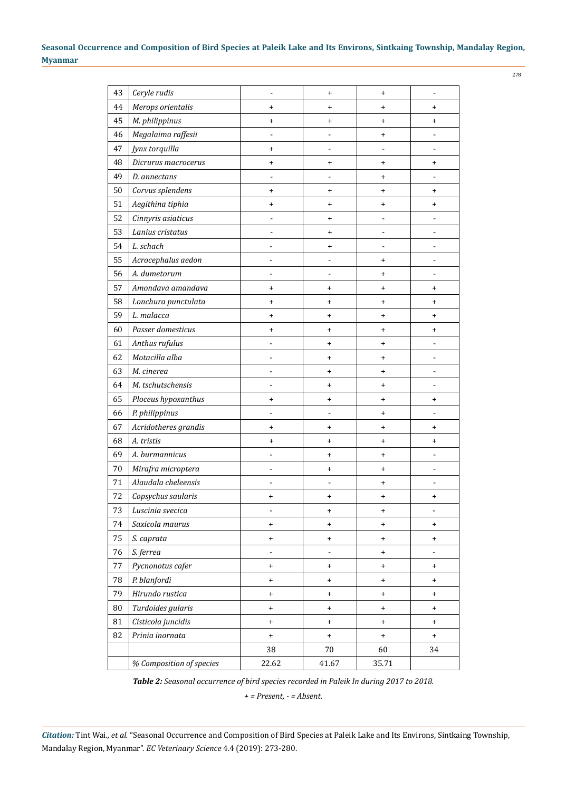| 43 | Ceryle rudis             |                | $\ddot{}$      | $\ddot{}$ |           |
|----|--------------------------|----------------|----------------|-----------|-----------|
| 44 | Merops orientalis        | $\ddot{}$      | $\ddot{}$      | $\ddot{}$ | $\ddot{}$ |
| 45 | M. philippinus           | $\ddot{}$      | $\ddot{}$      | $\ddot{}$ | +         |
| 46 | Megalaima raffesii       |                |                | $\ddot{}$ |           |
| 47 | Jynx torquilla           | $\ddot{}$      |                |           |           |
| 48 | Dicrurus macrocerus      | $\ddot{}$      | $\ddot{}$      | $\ddot{}$ | $\ddot{}$ |
| 49 | D. annectans             |                |                | $\ddot{}$ |           |
| 50 | Corvus splendens         | $\ddot{}$      | $\ddot{}$      | $\ddot{}$ | $\ddot{}$ |
| 51 | Aegithina tiphia         | +              | $\ddot{}$      | +         | $\ddot{}$ |
| 52 | Cinnyris asiaticus       | -              | $\ddot{}$      |           |           |
| 53 | Lanius cristatus         | $\overline{a}$ | $\ddot{}$      |           |           |
| 54 | L. schach                |                | $\ddot{}$      |           |           |
| 55 | Acrocephalus aedon       | $\overline{a}$ |                | +         |           |
| 56 | A. dumetorum             | -              |                | $\ddot{}$ |           |
| 57 | Amondava amandava        | $\ddot{}$      | $\ddot{}$      | $\ddot{}$ | $\ddot{}$ |
| 58 | Lonchura punctulata      | $\ddot{}$      | $\ddot{}$      | $\ddot{}$ | $\ddot{}$ |
| 59 | L. malacca               | +              | $\ddot{}$      | $\ddot{}$ | +         |
| 60 | Passer domesticus        | $\ddot{}$      | $\ddot{}$      | $\ddot{}$ | $\ddot{}$ |
| 61 | Anthus rufulus           |                | $\ddot{}$      | $\ddot{}$ |           |
| 62 | Motacilla alba           | $\overline{a}$ | $\ddot{}$      | $\ddot{}$ |           |
| 63 | M. cinerea               |                | $\ddot{}$      | $\ddot{}$ |           |
| 64 | M. tschutschensis        | -              | $\ddot{}$      | $\ddot{}$ | -         |
| 65 | Ploceus hypoxanthus      | $\ddot{}$      | $\ddot{}$      | $\ddot{}$ | +         |
| 66 | P. philippinus           |                |                | $\ddot{}$ |           |
| 67 | Acridotheres grandis     | $\ddot{}$      | $\ddot{}$      | $\ddot{}$ | +         |
| 68 | A. tristis               | $\ddot{}$      | $\ddot{}$      | $\ddot{}$ | $\ddot{}$ |
| 69 | A. burmannicus           |                | $\ddot{}$      | $\ddot{}$ |           |
| 70 | Mirafra microptera       |                | $\ddot{}$      | $\ddot{}$ |           |
| 71 | Alaudala cheleensis      |                |                | $\ddot{}$ |           |
| 72 | Copsychus saularis       | +              | $\ddot{}$      | $\ddot{}$ | +         |
| 73 | Luscinia svecica         | -              | +              | $\ddot{}$ |           |
| 74 | Saxicola maurus          | $\ddot{}$      | $\ddot{}$      | $\ddot{}$ | $\ddot{}$ |
| 75 | S. caprata               | $\ddot{}$      | +              | $\ddot{}$ | +         |
| 76 | S. ferrea                | -              | $\overline{a}$ | $\ddot{}$ |           |
| 77 | Pycnonotus cafer         | $\ddot{}$      | +              | $\ddot{}$ | +         |
| 78 | P. blanfordi             | $\ddot{}$      | $\ddot{}$      | $\ddot{}$ | $\ddot{}$ |
| 79 | Hirundo rustica          | $\ddot{}$      | +              | $\ddot{}$ | +         |
| 80 | Turdoides gularis        | $\ddot{}$      | $\ddot{}$      | $\ddot{}$ | $\ddot{}$ |
| 81 | Cisticola juncidis       | $\ddot{}$      | +              | $\ddot{}$ | +         |
| 82 | Prinia inornata          | $\ddot{}$      | $\ddot{}$      | $\ddot{}$ | $\ddot{}$ |
|    |                          | 38             | 70             | 60        | 34        |
|    | % Composition of species | 22.62          | 41.67          | 35.71     |           |
|    |                          |                |                |           |           |

*Table 2: Seasonal occurrence of bird species recorded in Paleik In during 2017 to 2018.*

*+ = Present, - = Absent.*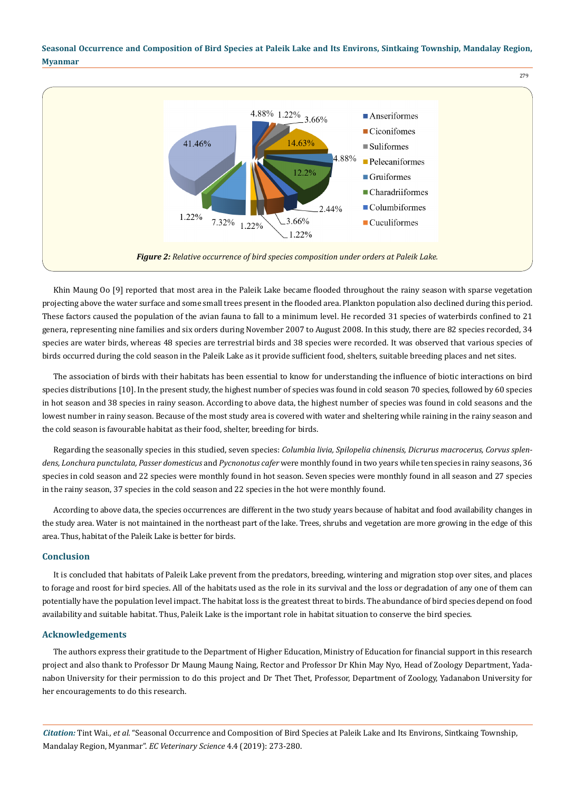

Khin Maung Oo [9] reported that most area in the Paleik Lake became flooded throughout the rainy season with sparse vegetation projecting above the water surface and some small trees present in the flooded area. Plankton population also declined during this period. These factors caused the population of the avian fauna to fall to a minimum level. He recorded 31 species of waterbirds confined to 21 genera, representing nine families and six orders during November 2007 to August 2008. In this study, there are 82 species recorded, 34 species are water birds, whereas 48 species are terrestrial birds and 38 species were recorded. It was observed that various species of birds occurred during the cold season in the Paleik Lake as it provide sufficient food, shelters, suitable breeding places and net sites.

The association of birds with their habitats has been essential to know for understanding the influence of biotic interactions on bird species distributions [10]. In the present study, the highest number of species was found in cold season 70 species, followed by 60 species in hot season and 38 species in rainy season. According to above data, the highest number of species was found in cold seasons and the lowest number in rainy season. Because of the most study area is covered with water and sheltering while raining in the rainy season and the cold season is favourable habitat as their food, shelter, breeding for birds.

Regarding the seasonally species in this studied, seven species: *Columbia livia, Spilopelia chinensis, Dicrurus macrocerus, Corvus splendens, Lonchura punctulata, Passer domesticus* and *Pycnonotus cafer* were monthly found in two years while ten species in rainy seasons, 36 species in cold season and 22 species were monthly found in hot season. Seven species were monthly found in all season and 27 species in the rainy season, 37 species in the cold season and 22 species in the hot were monthly found.

According to above data, the species occurrences are different in the two study years because of habitat and food availability changes in the study area. Water is not maintained in the northeast part of the lake. Trees, shrubs and vegetation are more growing in the edge of this area. Thus, habitat of the Paleik Lake is better for birds.

## **Conclusion**

It is concluded that habitats of Paleik Lake prevent from the predators, breeding, wintering and migration stop over sites, and places to forage and roost for bird species. All of the habitats used as the role in its survival and the loss or degradation of any one of them can potentially have the population level impact. The habitat loss is the greatest threat to birds. The abundance of bird species depend on food availability and suitable habitat. Thus, Paleik Lake is the important role in habitat situation to conserve the bird species.

#### **Acknowledgements**

The authors express their gratitude to the Department of Higher Education, Ministry of Education for financial support in this research project and also thank to Professor Dr Maung Maung Naing, Rector and Professor Dr Khin May Nyo, Head of Zoology Department, Yadanabon University for their permission to do this project and Dr Thet Thet, Professor, Department of Zoology, Yadanabon University for her encouragements to do this research.